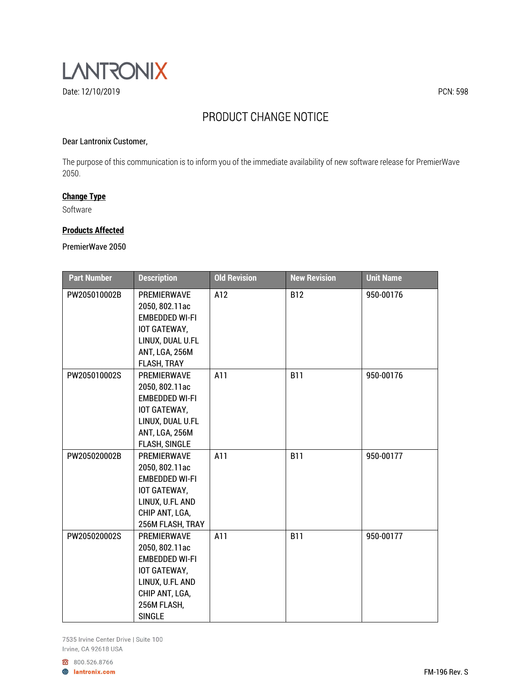

# PRODUCT CHANGE NOTICE

## Dear Lantronix Customer,

The purpose of this communication is to inform you of the immediate availability of new software release for PremierWave 2050.

# **Change Type**

Software

### **Products Affected**

PremierWave 2050

| <b>Part Number</b> | <b>Description</b>                                                                                                                                 | <b>Old Revision</b> | <b>New Revision</b> | <b>Unit Name</b> |
|--------------------|----------------------------------------------------------------------------------------------------------------------------------------------------|---------------------|---------------------|------------------|
| PW205010002B       | PREMIERWAVE<br>2050, 802.11ac<br><b>EMBEDDED WI-FI</b><br>IOT GATEWAY,<br>LINUX, DUAL U.FL<br>ANT, LGA, 256M<br>FLASH, TRAY                        | A12                 | <b>B12</b>          | 950-00176        |
| PW205010002S       | PREMIERWAVE<br>2050, 802.11ac<br><b>EMBEDDED WI-FI</b><br>IOT GATEWAY,<br>LINUX, DUAL U.FL<br>ANT, LGA, 256M<br><b>FLASH, SINGLE</b>               | A11                 | <b>B11</b>          | 950-00176        |
| PW205020002B       | <b>PREMIERWAVE</b><br>2050, 802.11ac<br><b>EMBEDDED WI-FI</b><br>IOT GATEWAY,<br>LINUX, U.FL AND<br>CHIP ANT, LGA,<br>256M FLASH, TRAY             | A11                 | <b>B11</b>          | 950-00177        |
| PW205020002S       | <b>PREMIERWAVE</b><br>2050, 802.11ac<br><b>EMBEDDED WI-FI</b><br>IOT GATEWAY,<br>LINUX, U.FL AND<br>CHIP ANT, LGA,<br>256M FLASH,<br><b>SINGLE</b> | A11                 | <b>B11</b>          | 950-00177        |

7535 Irvine Center Drive | Suite 100 Irvine, CA 92618 USA

800.526.8766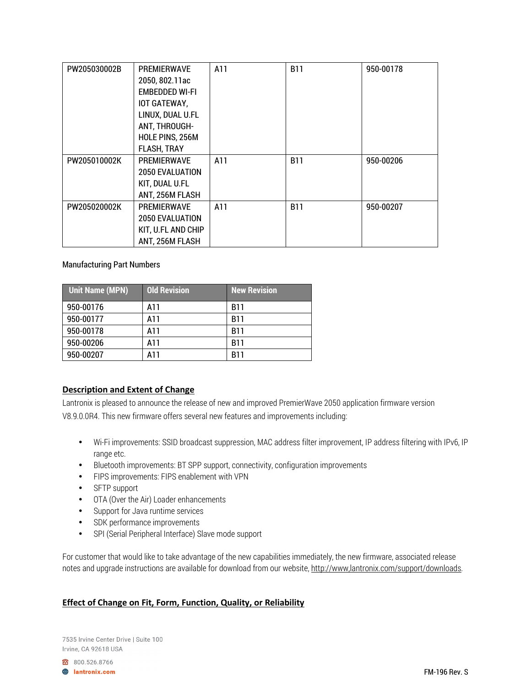| PW205030002B | <b>PREMIERWAVE</b>     | A11 | <b>B11</b> | 950-00178 |
|--------------|------------------------|-----|------------|-----------|
|              | 2050, 802.11ac         |     |            |           |
|              | <b>EMBEDDED WI-FI</b>  |     |            |           |
|              | IOT GATEWAY,           |     |            |           |
|              | LINUX, DUAL U.FL       |     |            |           |
|              | ANT, THROUGH-          |     |            |           |
|              | HOLE PINS, 256M        |     |            |           |
|              | FLASH, TRAY            |     |            |           |
| PW205010002K | <b>PREMIERWAVE</b>     | A11 | <b>B11</b> | 950-00206 |
|              | <b>2050 EVALUATION</b> |     |            |           |
|              | KIT, DUAL U.FL         |     |            |           |
|              | ANT, 256M FLASH        |     |            |           |
| PW205020002K | <b>PREMIERWAVE</b>     | A11 | <b>B11</b> | 950-00207 |
|              | <b>2050 EVALUATION</b> |     |            |           |
|              | KIT, U.FL AND CHIP     |     |            |           |
|              | ANT, 256M FLASH        |     |            |           |

#### Manufacturing Part Numbers

| <b>Unit Name (MPN)</b> | <b>Old Revision</b> | New Revis <u>ion</u> |
|------------------------|---------------------|----------------------|
| 950-00176              | A11                 | <b>B11</b>           |
| 950-00177              | A11                 | B11                  |
| 950-00178              | A11                 | B11                  |
| 950-00206              | A11                 | <b>B11</b>           |
| 950-00207              | A11                 | B11                  |

## **Description and Extent of Change**

Lantronix is pleased to announce the release of new and improved PremierWave 2050 application firmware version V8.9.0.0R4. This new firmware offers several new features and improvements including:

- Wi-Fi improvements: SSID broadcast suppression, MAC address filter improvement, IP address filtering with IPv6, IP range etc.
- Bluetooth improvements: BT SPP support, connectivity, configuration improvements
- FIPS improvements: FIPS enablement with VPN
- SFTP support
- OTA (Over the Air) Loader enhancements
- Support for Java runtime services
- SDK performance improvements
- SPI (Serial Peripheral Interface) Slave mode support

For customer that would like to take advantage of the new capabilities immediately, the new firmware, associated release notes and upgrade instructions are available for download from our website, http://www,lantronix.com/support/downloads.

## **Effect of Change on Fit, Form, Function, Quality, or Reliability**

7535 Irvine Center Drive | Suite 100 Irvine, CA 92618 USA

800.526.8766

**A** lantronix.com